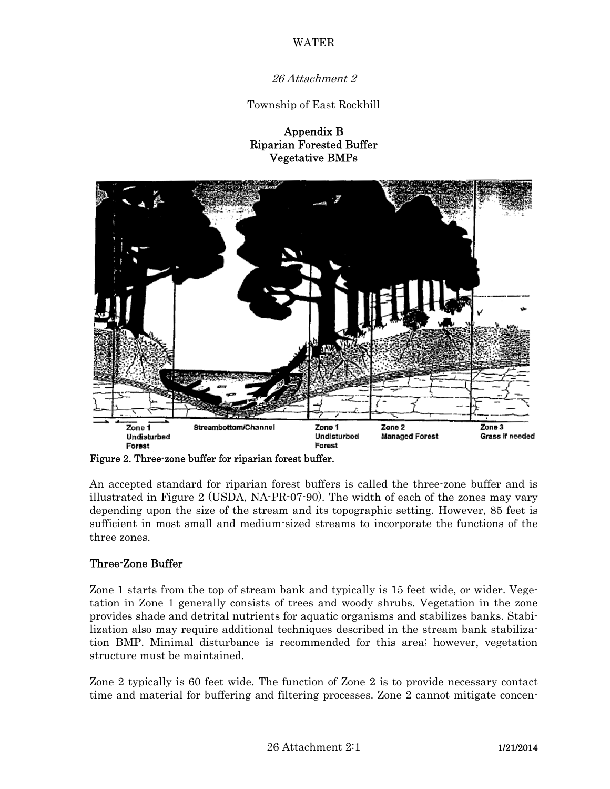WATER

26 Attachment 2

Township of East Rockhill

Appendix B Riparian Forested Buffer Vegetative BMPs



Figure 2. Three-zone buffer for riparian forest buffer.

An accepted standard for riparian forest buffers is called the three-zone buffer and is illustrated in Figure 2 (USDA, NA-PR-07-90). The width of each of the zones may vary depending upon the size of the stream and its topographic setting. However, 85 feet is sufficient in most small and medium-sized streams to incorporate the functions of the three zones.

## Three-Zone Buffer

Zone 1 starts from the top of stream bank and typically is 15 feet wide, or wider. Vegetation in Zone 1 generally consists of trees and woody shrubs. Vegetation in the zone provides shade and detrital nutrients for aquatic organisms and stabilizes banks. Stabilization also may require additional techniques described in the stream bank stabilization BMP. Minimal disturbance is recommended for this area; however, vegetation structure must be maintained.

Zone 2 typically is 60 feet wide. The function of Zone 2 is to provide necessary contact time and material for buffering and filtering processes. Zone 2 cannot mitigate concen-